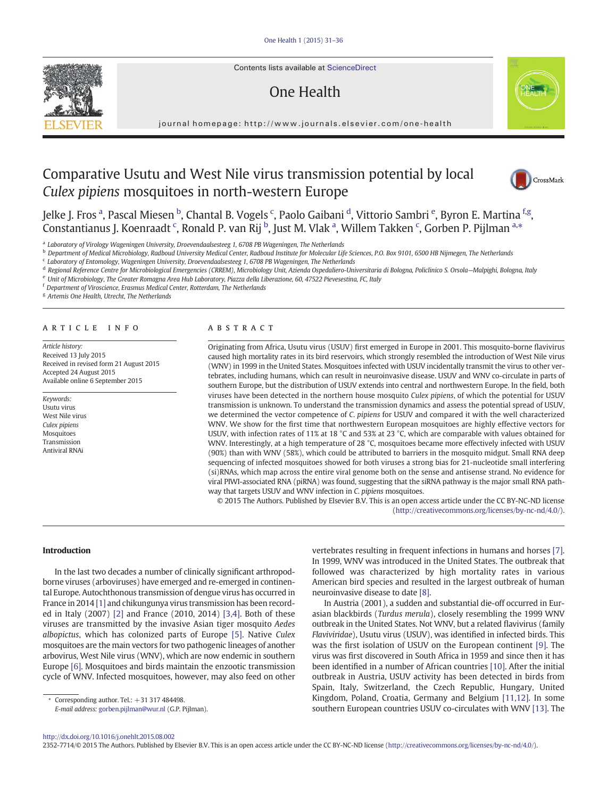Contents lists available at ScienceDirect

# One Health

journal homepage: [http://www.journals.elsevier.com/one-health](http://www.journals.elsevier.com/oneealth)

# Comparative Usutu and West Nile virus transmission potential by local Culex pipiens mosquitoes in north-western Europe

Jelke J. Fros <sup>a</sup>, Pascal Miesen <sup>b</sup>, Chantal B. Vogels <sup>c</sup>, Paolo Gaibani <sup>d</sup>, Vittorio Sambri <sup>e</sup>, Byron E. Martina <sup>f,g</sup>, Constantianus J. Koenraadt <sup>c</sup>, Ronald P. van Rij <sup>b</sup>, Just M. Vlak <sup>a</sup>, Willem Takken <sup>c</sup>, Gorben P. Pijlman <sup>a,\*</sup>

a Laboratory of Virology Wageningen University, Droevendaalsesteeg 1, 6708 PB Wageningen, The Netherlands

**b** Department of Medical Microbiology, Radboud University Medical Center, Radboud Institute for Molecular Life Sciences, P.O. Box 9101, 6500 HB Nijmegen, The Netherlands

<sup>c</sup> Laboratory of Entomology, Wageningen University, Droevendaalsesteeg 1, 6708 PB Wageningen, The Netherlands

<sup>d</sup> Regional Reference Centre for Microbiological Emergencies (CRREM), Microbiology Unit, Azienda Ospedaliero-Universitaria di Bologna, Policlinico S. Orsola—Malpighi, Bologna, Italy

<sup>e</sup> Unit of Microbiology, The Greater Romagna Area Hub Laboratory, Piazza della Liberazione, 60, 47522 Pievesestina, FC, Italy

<sup>f</sup> Department of Viroscience, Erasmus Medical Center, Rotterdam, The Netherlands

<sup>g</sup> Artemis One Health, Utrecht, The Netherlands

# article info abstract

Article history: Received 13 July 2015 Received in revised form 21 August 2015 Accepted 24 August 2015 Available online 6 September 2015

Keywords: Usutu virus West Nile virus Culex pipiens **Mosquitoes** Transmission Antiviral RNAi

Originating from Africa, Usutu virus (USUV) first emerged in Europe in 2001. This mosquito-borne flavivirus caused high mortality rates in its bird reservoirs, which strongly resembled the introduction of West Nile virus (WNV) in 1999 in the United States. Mosquitoes infected with USUV incidentally transmit the virus to other vertebrates, including humans, which can result in neuroinvasive disease. USUV and WNV co-circulate in parts of southern Europe, but the distribution of USUV extends into central and northwestern Europe. In the field, both viruses have been detected in the northern house mosquito Culex pipiens, of which the potential for USUV transmission is unknown. To understand the transmission dynamics and assess the potential spread of USUV, we determined the vector competence of C. pipiens for USUV and compared it with the well characterized WNV. We show for the first time that northwestern European mosquitoes are highly effective vectors for USUV, with infection rates of 11% at 18 °C and 53% at 23 °C, which are comparable with values obtained for WNV. Interestingly, at a high temperature of 28 °C, mosquitoes became more effectively infected with USUV (90%) than with WNV (58%), which could be attributed to barriers in the mosquito midgut. Small RNA deep sequencing of infected mosquitoes showed for both viruses a strong bias for 21-nucleotide small interfering (si)RNAs, which map across the entire viral genome both on the sense and antisense strand. No evidence for viral PIWI-associated RNA (piRNA) was found, suggesting that the siRNA pathway is the major small RNA pathway that targets USUV and WNV infection in C. pipiens mosquitoes.

© 2015 The Authors. Published by Elsevier B.V. This is an open access article under the CC BY-NC-ND license ([http://creativecommons.org/licenses/by-nc-nd/4.0/\)](http://creativecommons.org/licenses/by-nc-nd/4.0/).

#### Introduction

In the last two decades a number of clinically significant arthropodborne viruses (arboviruses) have emerged and re-emerged in continental Europe. Autochthonous transmission of dengue virus has occurred in France in 2014 [\[1\]](#page-4-0) and chikungunya virus transmission has been recorded in Italy (2007) [\[2\]](#page-4-0) and France (2010, 2014) [\[3,4\].](#page-4-0) Both of these viruses are transmitted by the invasive Asian tiger mosquito Aedes albopictus, which has colonized parts of Europe [\[5\].](#page-4-0) Native Culex mosquitoes are the main vectors for two pathogenic lineages of another arbovirus, West Nile virus (WNV), which are now endemic in southern Europe [\[6\].](#page-4-0) Mosquitoes and birds maintain the enzootic transmission cycle of WNV. Infected mosquitoes, however, may also feed on other

Corresponding author. Tel.: +31 317 484498.

vertebrates resulting in frequent infections in humans and horses [\[7\].](#page-4-0) In 1999, WNV was introduced in the United States. The outbreak that followed was characterized by high mortality rates in various American bird species and resulted in the largest outbreak of human neuroinvasive disease to date [\[8\]](#page-4-0).

In Austria (2001), a sudden and substantial die-off occurred in Eurasian blackbirds (Turdus merula), closely resembling the 1999 WNV outbreak in the United States. Not WNV, but a related flavivirus (family Flaviviridae), Usutu virus (USUV), was identified in infected birds. This was the first isolation of USUV on the European continent [\[9\]](#page-4-0). The virus was first discovered in South Africa in 1959 and since then it has been identified in a number of African countries [\[10\]](#page-4-0). After the initial outbreak in Austria, USUV activity has been detected in birds from Spain, Italy, Switzerland, the Czech Republic, Hungary, United Kingdom, Poland, Croatia, Germany and Belgium [\[11,12\].](#page-4-0) In some southern European countries USUV co-circulates with WNV [\[13\]](#page-4-0). The

<http://dx.doi.org/10.1016/j.onehlt.2015.08.002>

2352-7714/© 2015 The Authors. Published by Elsevier B.V. This is an open access article under the CC BY-NC-ND license [\(http://creativecommons.org/licenses/by-nc-nd/4.0/\)](http://creativecommons.org/licenses/by-nc-nd/4.0/).





 $C$ rossMark

E-mail address: [gorben.pijlman@wur.nl](mailto:gorben.pijlman@wur.nl) (G.P. Pijlman).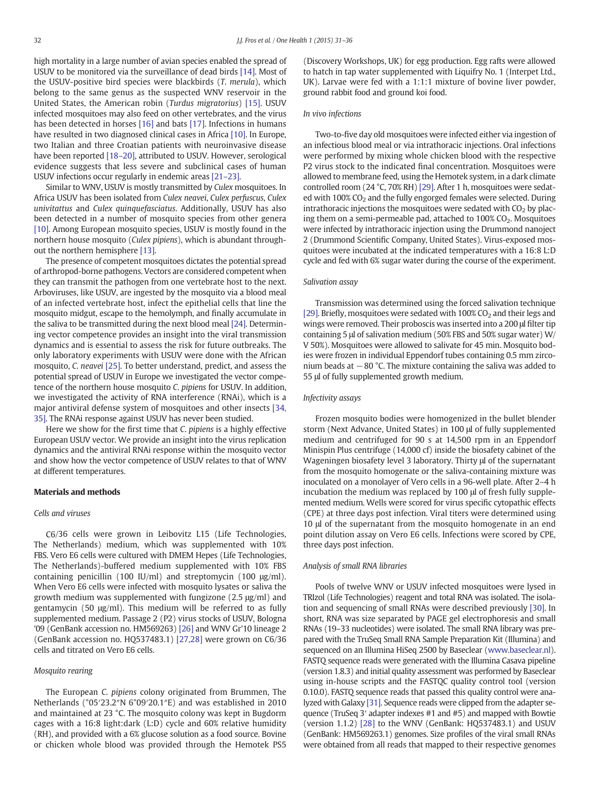high mortality in a large number of avian species enabled the spread of USUV to be monitored via the surveillance of dead birds [\[14\]](#page-4-0). Most of the USUV-positive bird species were blackbirds (T. merula), which belong to the same genus as the suspected WNV reservoir in the United States, the American robin (Turdus migratorius) [\[15\].](#page-4-0) USUV infected mosquitoes may also feed on other vertebrates, and the virus has been detected in horses [\[16\]](#page-4-0) and bats [\[17\].](#page-4-0) Infections in humans have resulted in two diagnosed clinical cases in Africa [\[10\]](#page-4-0). In Europe, two Italian and three Croatian patients with neuroinvasive disease have been reported [18-[20\]](#page-4-0), attributed to USUV. However, serological evidence suggests that less severe and subclinical cases of human USUV infections occur regularly in endemic areas [\[21](#page-5-0)–23].

Similar to WNV, USUV is mostly transmitted by Culex mosquitoes. In Africa USUV has been isolated from Culex neavei, Culex perfuscus, Culex univitattus and Culex quinquefasciatus. Additionally, USUV has also been detected in a number of mosquito species from other genera [\[10\]](#page-4-0). Among European mosquito species, USUV is mostly found in the northern house mosquito (Culex pipiens), which is abundant throughout the northern hemisphere [\[13\].](#page-4-0)

The presence of competent mosquitoes dictates the potential spread of arthropod-borne pathogens. Vectors are considered competent when they can transmit the pathogen from one vertebrate host to the next. Arboviruses, like USUV, are ingested by the mosquito via a blood meal of an infected vertebrate host, infect the epithelial cells that line the mosquito midgut, escape to the hemolymph, and finally accumulate in the saliva to be transmitted during the next blood meal [\[24\]](#page-5-0). Determining vector competence provides an insight into the viral transmission dynamics and is essential to assess the risk for future outbreaks. The only laboratory experiments with USUV were done with the African mosquito, C. neavei [\[25\].](#page-5-0) To better understand, predict, and assess the potential spread of USUV in Europe we investigated the vector competence of the northern house mosquito C. pipiens for USUV. In addition, we investigated the activity of RNA interference (RNAi), which is a major antiviral defense system of mosquitoes and other insects [\[34,](#page-5-0) [35\]](#page-5-0). The RNAi response against USUV has never been studied.

Here we show for the first time that C. pipiens is a highly effective European USUV vector. We provide an insight into the virus replication dynamics and the antiviral RNAi response within the mosquito vector and show how the vector competence of USUV relates to that of WNV at different temperatures.

#### Materials and methods

#### Cells and viruses

C6/36 cells were grown in Leibovitz L15 (Life Technologies, The Netherlands) medium, which was supplemented with 10% FBS. Vero E6 cells were cultured with DMEM Hepes (Life Technologies, The Netherlands)-buffered medium supplemented with 10% FBS containing penicillin (100 IU/ml) and streptomycin (100 μg/ml). When Vero E6 cells were infected with mosquito lysates or saliva the growth medium was supplemented with fungizone (2.5 μg/ml) and gentamycin (50 μg/ml). This medium will be referred to as fully supplemented medium. Passage 2 (P2) virus stocks of USUV, Bologna '09 (GenBank accession no. HM569263) [\[26\]](#page-5-0) and WNV Gr'10 lineage 2 (GenBank accession no. HQ537483.1) [\[27,28\]](#page-5-0) were grown on C6/36 cells and titrated on Vero E6 cells.

#### Mosquito rearing

The European C. pipiens colony originated from Brummen, The Netherlands (°05′23.2″N 6°09′20.1″E) and was established in 2010 and maintained at 23 °C. The mosquito colony was kept in Bugdorm cages with a 16:8 light:dark (L:D) cycle and 60% relative humidity (RH), and provided with a 6% glucose solution as a food source. Bovine or chicken whole blood was provided through the Hemotek PS5 (Discovery Workshops, UK) for egg production. Egg rafts were allowed to hatch in tap water supplemented with Liquifry No. 1 (Interpet Ltd., UK). Larvae were fed with a 1:1:1 mixture of bovine liver powder, ground rabbit food and ground koi food.

### In vivo infections

Two-to-five day old mosquitoes were infected either via ingestion of an infectious blood meal or via intrathoracic injections. Oral infections were performed by mixing whole chicken blood with the respective P2 virus stock to the indicated final concentration. Mosquitoes were allowed to membrane feed, using the Hemotek system, in a dark climate controlled room (24 °C, 70% RH) [\[29\]](#page-5-0). After 1 h, mosquitoes were sedated with 100% CO<sub>2</sub> and the fully engorged females were selected. During intrathoracic injections the mosquitoes were sedated with  $CO<sub>2</sub>$  by placing them on a semi-permeable pad, attached to  $100\%$  CO<sub>2</sub>. Mosquitoes were infected by intrathoracic injection using the Drummond nanoject 2 (Drummond Scientific Company, United States). Virus-exposed mosquitoes were incubated at the indicated temperatures with a 16:8 L:D cycle and fed with 6% sugar water during the course of the experiment.

#### Salivation assay

Transmission was determined using the forced salivation technique [\[29\]](#page-5-0). Briefly, mosquitoes were sedated with  $100\%$  CO<sub>2</sub> and their legs and wings were removed. Their proboscis was inserted into a 200 μl filter tip containing 5 μl of salivation medium (50% FBS and 50% sugar water) W/ V 50%). Mosquitoes were allowed to salivate for 45 min. Mosquito bodies were frozen in individual Eppendorf tubes containing 0.5 mm zirconium beads at  $-80$  °C. The mixture containing the saliva was added to 55 μl of fully supplemented growth medium.

#### Infectivity assays

Frozen mosquito bodies were homogenized in the bullet blender storm (Next Advance, United States) in 100 μl of fully supplemented medium and centrifuged for 90 s at 14,500 rpm in an Eppendorf Minispin Plus centrifuge (14,000 cf) inside the biosafety cabinet of the Wageningen biosafety level 3 laboratory. Thirty μl of the supernatant from the mosquito homogenate or the saliva-containing mixture was inoculated on a monolayer of Vero cells in a 96-well plate. After 2–4 h incubation the medium was replaced by 100 μl of fresh fully supplemented medium. Wells were scored for virus specific cytopathic effects (CPE) at three days post infection. Viral titers were determined using 10 μl of the supernatant from the mosquito homogenate in an end point dilution assay on Vero E6 cells. Infections were scored by CPE, three days post infection.

#### Analysis of small RNA libraries

Pools of twelve WNV or USUV infected mosquitoes were lysed in TRIzol (Life Technologies) reagent and total RNA was isolated. The isolation and sequencing of small RNAs were described previously [\[30\]](#page-5-0). In short, RNA was size separated by PAGE gel electrophoresis and small RNAs (19–33 nucleotides) were isolated. The small RNA library was prepared with the TruSeq Small RNA Sample Preparation Kit (Illumina) and sequenced on an Illumina HiSeq 2500 by Baseclear [\(www.baseclear.nl\)](http://www.baseclear.nl). FASTQ sequence reads were generated with the Illumina Casava pipeline (version 1.8.3) and initial quality assessment was performed by Baseclear using in-house scripts and the FASTQC quality control tool (version 0.10.0). FASTQ sequence reads that passed this quality control were analyzed with Galaxy [\[31\].](#page-5-0) Sequence reads were clipped from the adapter sequence (TruSeq 3′ adapter indexes #1 and #5) and mapped with Bowtie (version 1.1.2) [\[28\]](#page-5-0) to the WNV (GenBank: HQ537483.1) and USUV (GenBank: HM569263.1) genomes. Size profiles of the viral small RNAs were obtained from all reads that mapped to their respective genomes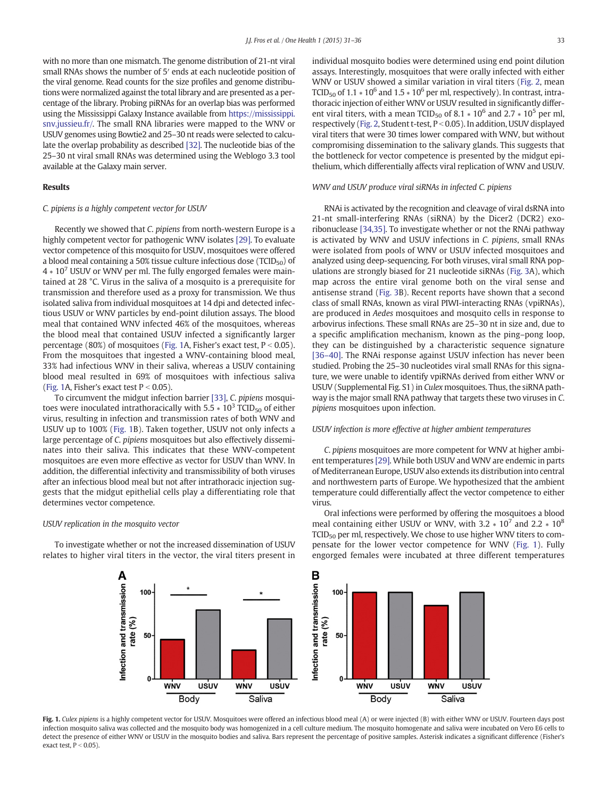<span id="page-2-0"></span>with no more than one mismatch. The genome distribution of 21-nt viral small RNAs shows the number of 5′ ends at each nucleotide position of the viral genome. Read counts for the size profiles and genome distributions were normalized against the total library and are presented as a percentage of the library. Probing piRNAs for an overlap bias was performed using the Mississippi Galaxy Instance available from [https://mississippi.](https://mississippi.snv.jussieu.fr/) [snv.jussieu.fr/](https://mississippi.snv.jussieu.fr/). The small RNA libraries were mapped to the WNV or USUV genomes using Bowtie2 and 25–30 nt reads were selected to calculate the overlap probability as described [\[32\]](#page-5-0). The nucleotide bias of the 25–30 nt viral small RNAs was determined using the Weblogo 3.3 tool available at the Galaxy main server.

#### Results

# C. pipiens is a highly competent vector for USUV

Recently we showed that C. pipiens from north-western Europe is a highly competent vector for pathogenic WNV isolates [\[29\].](#page-5-0) To evaluate vector competence of this mosquito for USUV, mosquitoes were offered a blood meal containing a 50% tissue culture infectious dose (TCID $_{50}$ ) of  $4 * 10<sup>7</sup>$  USUV or WNV per ml. The fully engorged females were maintained at 28 °C. Virus in the saliva of a mosquito is a prerequisite for transmission and therefore used as a proxy for transmission. We thus isolated saliva from individual mosquitoes at 14 dpi and detected infectious USUV or WNV particles by end-point dilution assays. The blood meal that contained WNV infected 46% of the mosquitoes, whereas the blood meal that contained USUV infected a significantly larger percentage (80%) of mosquitoes (Fig. 1A, Fisher's exact test,  $P < 0.05$ ). From the mosquitoes that ingested a WNV-containing blood meal, 33% had infectious WNV in their saliva, whereas a USUV containing blood meal resulted in 69% of mosquitoes with infectious saliva (Fig. 1A, Fisher's exact test  $P < 0.05$ ).

To circumvent the midgut infection barrier [\[33\],](#page-5-0) C. pipiens mosquitoes were inoculated intrathoracically with  $5.5 * 10<sup>3</sup>$  TCID<sub>50</sub> of either virus, resulting in infection and transmission rates of both WNV and USUV up to 100% (Fig. 1B). Taken together, USUV not only infects a large percentage of C. pipiens mosquitoes but also effectively disseminates into their saliva. This indicates that these WNV-competent mosquitoes are even more effective as vector for USUV than WNV. In addition, the differential infectivity and transmissibility of both viruses after an infectious blood meal but not after intrathoracic injection suggests that the midgut epithelial cells play a differentiating role that determines vector competence.

#### USUV replication in the mosquito vector

To investigate whether or not the increased dissemination of USUV relates to higher viral titers in the vector, the viral titers present in individual mosquito bodies were determined using end point dilution assays. Interestingly, mosquitoes that were orally infected with either WNV or USUV showed a similar variation in viral titers ([Fig. 2](#page-3-0), mean TCID<sub>50</sub> of 1.1  $*$  10<sup>6</sup> and 1.5  $*$  10<sup>6</sup> per ml, respectively). In contrast, intrathoracic injection of either WNV or USUV resulted in significantly different viral titers, with a mean TCID<sub>50</sub> of 8.1  $*$  10<sup>6</sup> and 2.7  $*$  10<sup>5</sup> per ml, respectively [\(Fig. 2](#page-3-0), Student t-test, P < 0.05). In addition, USUV displayed viral titers that were 30 times lower compared with WNV, but without compromising dissemination to the salivary glands. This suggests that the bottleneck for vector competence is presented by the midgut epithelium, which differentially affects viral replication of WNV and USUV.

# WNV and USUV produce viral siRNAs in infected C. pipiens

RNAi is activated by the recognition and cleavage of viral dsRNA into 21-nt small-interfering RNAs (siRNA) by the Dicer2 (DCR2) exoribonuclease [\[34,35\]](#page-5-0). To investigate whether or not the RNAi pathway is activated by WNV and USUV infections in C. pipiens, small RNAs were isolated from pools of WNV or USUV infected mosquitoes and analyzed using deep-sequencing. For both viruses, viral small RNA populations are strongly biased for 21 nucleotide siRNAs [\(Fig. 3](#page-3-0)A), which map across the entire viral genome both on the viral sense and antisense strand ([Fig. 3B](#page-3-0)). Recent reports have shown that a second class of small RNAs, known as viral PIWI-interacting RNAs (vpiRNAs), are produced in Aedes mosquitoes and mosquito cells in response to arbovirus infections. These small RNAs are 25–30 nt in size and, due to a specific amplification mechanism, known as the ping–pong loop, they can be distinguished by a characteristic sequence signature [36–[40\]](#page-5-0). The RNAi response against USUV infection has never been studied. Probing the 25–30 nucleotides viral small RNAs for this signature, we were unable to identify vpiRNAs derived from either WNV or USUV (Supplemental Fig. S1) in Culex mosquitoes. Thus, the siRNA pathway is the major small RNA pathway that targets these two viruses in C. pipiens mosquitoes upon infection.

#### USUV infection is more effective at higher ambient temperatures

C. pipiens mosquitoes are more competent for WNV at higher ambient temperatures [\[29\].](#page-5-0) While both USUV and WNV are endemic in parts of Mediterranean Europe, USUV also extends its distribution into central and northwestern parts of Europe. We hypothesized that the ambient temperature could differentially affect the vector competence to either virus.

Oral infections were performed by offering the mosquitoes a blood meal containing either USUV or WNV, with  $3.2 \times 10^7$  and  $2.2 \times 10^8$  $TCID<sub>50</sub>$  per ml, respectively. We chose to use higher WNV titers to compensate for the lower vector competence for WNV (Fig. 1). Fully engorged females were incubated at three different temperatures



Fig. 1. Culex pipiens is a highly competent vector for USUV. Mosquitoes were offered an infectious blood meal (A) or were injected (B) with either WNV or USUV. Fourteen days post infection mosquito saliva was collected and the mosquito body was homogenized in a cell culture medium. The mosquito homogenate and saliva were incubated on Vero E6 cells to detect the presence of either WNV or USUV in the mosquito bodies and saliva. Bars represent the percentage of positive samples. Asterisk indicates a significant difference (Fisher's exact test,  $P < 0.05$ ).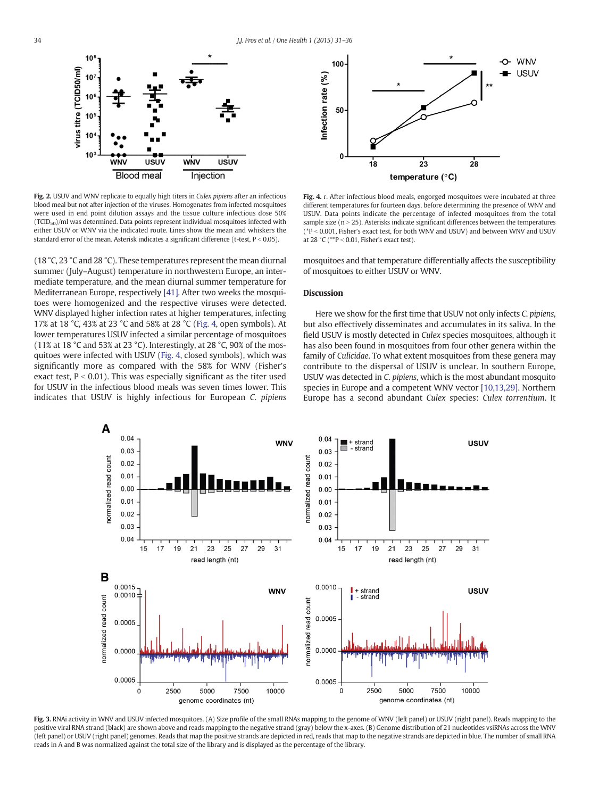<span id="page-3-0"></span>

Fig. 2. USUV and WNV replicate to equally high titers in *Culex pipiens* after an infectious blood meal but not after injection of the viruses. Homogenates from infected mosquitoes were used in end point dilution assays and the tissue culture infectious dose 50% (TCID<sub>50</sub>)/ml was determined. Data points represent individual mosquitoes infected with either USUV or WNV via the indicated route. Lines show the mean and whiskers the standard error of the mean. Asterisk indicates a significant difference (t-test,  $P < 0.05$ ).

(18 °C, 23 °C and 28 °C). These temperatures represent the mean diurnal summer (July–August) temperature in northwestern Europe, an intermediate temperature, and the mean diurnal summer temperature for Mediterranean Europe, respectively [\[41\].](#page-5-0) After two weeks the mosquitoes were homogenized and the respective viruses were detected. WNV displayed higher infection rates at higher temperatures, infecting 17% at 18 °C, 43% at 23 °C and 58% at 28 °C (Fig. 4, open symbols). At lower temperatures USUV infected a similar percentage of mosquitoes (11% at 18 °C and 53% at 23 °C). Interestingly, at 28 °C, 90% of the mosquitoes were infected with USUV (Fig. 4, closed symbols), which was significantly more as compared with the 58% for WNV (Fisher's exact test,  $P < 0.01$ ). This was especially significant as the titer used for USUV in the infectious blood meals was seven times lower. This indicates that USUV is highly infectious for European C. pipiens



Fig. 4. r. After infectious blood meals, engorged mosquitoes were incubated at three different temperatures for fourteen days, before determining the presence of WNV and USUV. Data points indicate the percentage of infected mosquitoes from the total sample size ( $n > 25$ ). Asterisks indicate significant differences between the temperatures ( $*P < 0.001$ , Fisher's exact test, for both WNV and USUV) and between WNV and USUV at 28 °C ( $*$ <sup>+</sup> $P$  < 0.01, Fisher's exact test).

mosquitoes and that temperature differentially affects the susceptibility of mosquitoes to either USUV or WNV.

### Discussion

Here we show for the first time that USUV not only infects C. pipiens, but also effectively disseminates and accumulates in its saliva. In the field USUV is mostly detected in Culex species mosquitoes, although it has also been found in mosquitoes from four other genera within the family of Culicidae. To what extent mosquitoes from these genera may contribute to the dispersal of USUV is unclear. In southern Europe, USUV was detected in C. pipiens, which is the most abundant mosquito species in Europe and a competent WNV vector [\[10,13,29\]](#page-4-0). Northern Europe has a second abundant Culex species: Culex torrentium. It



Fig. 3. RNAi activity in WNV and USUV infected mosquitoes. (A) Size profile of the small RNAs mapping to the genome of WNV (left panel) or USUV (right panel). Reads mapping to the positive viral RNA strand (black) are shown above and reads mapping to the negative strand (gray) below the x-axes. (B) Genome distribution of 21 nucleotides vsiRNAs across the WNV (left panel) or USUV (right panel) genomes. Reads that map the positive strands are depicted in red, reads that map to the negative strands are depicted in blue. The number of small RNA reads in A and B was normalized against the total size of the library and is displayed as the percentage of the library.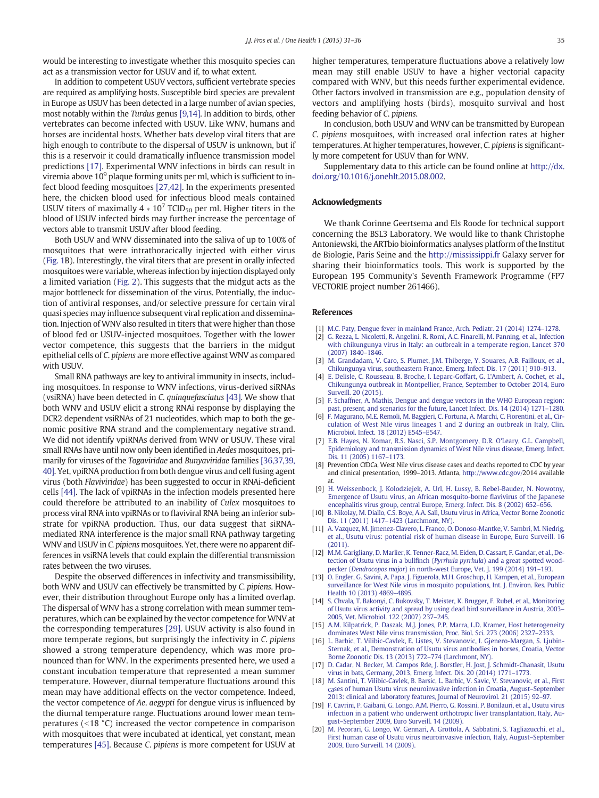<span id="page-4-0"></span>would be interesting to investigate whether this mosquito species can act as a transmission vector for USUV and if, to what extent.

In addition to competent USUV vectors, sufficient vertebrate species are required as amplifying hosts. Susceptible bird species are prevalent in Europe as USUV has been detected in a large number of avian species, most notably within the Turdus genus [9,14]. In addition to birds, other vertebrates can become infected with USUV. Like WNV, humans and horses are incidental hosts. Whether bats develop viral titers that are high enough to contribute to the dispersal of USUV is unknown, but if this is a reservoir it could dramatically influence transmission model predictions [17]. Experimental WNV infections in birds can result in viremia above  $10^9$  plaque forming units per ml, which is sufficient to infect blood feeding mosquitoes [\[27,42\]](#page-5-0). In the experiments presented here, the chicken blood used for infectious blood meals contained USUV titers of maximally  $4 * 10^7$  TCID<sub>50</sub> per ml. Higher titers in the blood of USUV infected birds may further increase the percentage of vectors able to transmit USUV after blood feeding.

Both USUV and WNV disseminated into the saliva of up to 100% of mosquitoes that were intrathoracically injected with either virus [\(Fig. 1](#page-2-0)B). Interestingly, the viral titers that are present in orally infected mosquitoes were variable, whereas infection by injection displayed only a limited variation [\(Fig. 2\)](#page-3-0). This suggests that the midgut acts as the major bottleneck for dissemination of the virus. Potentially, the induction of antiviral responses, and/or selective pressure for certain viral quasi species may influence subsequent viral replication and dissemination. Injection of WNV also resulted in titers that were higher than those of blood fed or USUV-injected mosquitoes. Together with the lower vector competence, this suggests that the barriers in the midgut epithelial cells of C. pipiens are more effective against WNV as compared with USUV.

Small RNA pathways are key to antiviral immunity in insects, including mosquitoes. In response to WNV infections, virus-derived siRNAs (vsiRNA) have been detected in C. quinquefasciatus [\[43\]](#page-5-0). We show that both WNV and USUV elicit a strong RNAi response by displaying the DCR2 dependent vsiRNAs of 21 nucleotides, which map to both the genomic positive RNA strand and the complementary negative strand. We did not identify vpiRNAs derived from WNV or USUV. These viral small RNAs have until now only been identified in Aedes mosquitoes, primarily for viruses of the Togaviridae and Bunyaviridae families [\[36,37,39,](#page-5-0) [40\].](#page-5-0) Yet, vpiRNA production from both dengue virus and cell fusing agent virus (both Flaviviridae) has been suggested to occur in RNAi-deficient cells [\[44\]](#page-5-0). The lack of vpiRNAs in the infection models presented here could therefore be attributed to an inability of Culex mosquitoes to process viral RNA into vpiRNAs or to flaviviral RNA being an inferior substrate for vpiRNA production. Thus, our data suggest that siRNAmediated RNA interference is the major small RNA pathway targeting WNV and USUV in C. pipiens mosquitoes. Yet, there were no apparent differences in vsiRNA levels that could explain the differential transmission rates between the two viruses.

Despite the observed differences in infectivity and transmissibility, both WNV and USUV can effectively be transmitted by C. pipiens. However, their distribution throughout Europe only has a limited overlap. The dispersal of WNV has a strong correlation with mean summer temperatures, which can be explained by the vector competence for WNV at the corresponding temperatures [\[29\].](#page-5-0) USUV activity is also found in more temperate regions, but surprisingly the infectivity in C. pipiens showed a strong temperature dependency, which was more pronounced than for WNV. In the experiments presented here, we used a constant incubation temperature that represented a mean summer temperature. However, diurnal temperature fluctuations around this mean may have additional effects on the vector competence. Indeed, the vector competence of Ae. aegypti for dengue virus is influenced by the diurnal temperature range. Fluctuations around lower mean temperatures ( $\langle$ 18 °C) increased the vector competence in comparison with mosquitoes that were incubated at identical, yet constant, mean temperatures [\[45\].](#page-5-0) Because C. pipiens is more competent for USUV at higher temperatures, temperature fluctuations above a relatively low mean may still enable USUV to have a higher vectorial capacity compared with WNV, but this needs further experimental evidence. Other factors involved in transmission are e.g., population density of vectors and amplifying hosts (birds), mosquito survival and host feeding behavior of C. pipiens.

In conclusion, both USUV and WNV can be transmitted by European C. pipiens mosquitoes, with increased oral infection rates at higher temperatures. At higher temperatures, however, C. pipiens is significantly more competent for USUV than for WNV.

Supplementary data to this article can be found online at [http://dx.](http://dx.doi.org/10.1016/j.onehlt.2015.08.002) [doi.org/10.1016/j.onehlt.2015.08.002](http://dx.doi.org/10.1016/j.onehlt.2015.08.002).

# Acknowledgments

We thank Corinne Geertsema and Els Roode for technical support concerning the BSL3 Laboratory. We would like to thank Christophe Antoniewski, the ARTbio bioinformatics analyses platform of the Institut de Biologie, Paris Seine and the <http://mississippi.fr> Galaxy server for sharing their bioinformatics tools. This work is supported by the European 195 Community's Seventh Framework Programme (FP7 VECTORIE project number 261466).

#### References

- [1] [M.C. Paty, Dengue fever in mainland France, Arch. Pediatr. 21 \(2014\) 1274](http://refhub.elsevier.com/S2352-7714(15)00006-3/rf0005)–1278.
- [2] [G. Rezza, L. Nicoletti, R. Angelini, R. Romi, A.C. Finarelli, M. Panning, et al., Infection](http://refhub.elsevier.com/S2352-7714(15)00006-3/rf0010) [with chikungunya virus in Italy: an outbreak in a temperate region, Lancet 370](http://refhub.elsevier.com/S2352-7714(15)00006-3/rf0010) [\(2007\) 1840](http://refhub.elsevier.com/S2352-7714(15)00006-3/rf0010)–1846.
- [3] [M. Grandadam, V. Caro, S. Plumet, J.M. Thiberge, Y. Souares, A.B. Failloux, et al.,](http://refhub.elsevier.com/S2352-7714(15)00006-3/rf0015) [Chikungunya virus, southeastern France, Emerg. Infect. Dis. 17 \(2011\) 910](http://refhub.elsevier.com/S2352-7714(15)00006-3/rf0015)–913.
- [4] [E. Delisle, C. Rousseau, B. Broche, I. Leparc-Goffart, G. L'Ambert, A. Cochet, et al.,](http://refhub.elsevier.com/S2352-7714(15)00006-3/rf0020) [Chikungunya outbreak in Montpellier, France, September to October 2014, Euro](http://refhub.elsevier.com/S2352-7714(15)00006-3/rf0020) [Surveill. 20 \(2015\).](http://refhub.elsevier.com/S2352-7714(15)00006-3/rf0020)
- [5] [F. Schaffner, A. Mathis, Dengue and dengue vectors in the WHO European region:](http://refhub.elsevier.com/S2352-7714(15)00006-3/rf0025) [past, present, and scenarios for the future, Lancet Infect. Dis. 14 \(2014\) 1271](http://refhub.elsevier.com/S2352-7714(15)00006-3/rf0025)–1280.
- [6] [F. Magurano, M.E. Remoli, M. Baggieri, C. Fortuna, A. Marchi, C. Fiorentini, et al., Cir](http://refhub.elsevier.com/S2352-7714(15)00006-3/rf0030)[culation of West Nile virus lineages 1 and 2 during an outbreak in Italy, Clin.](http://refhub.elsevier.com/S2352-7714(15)00006-3/rf0030) [Microbiol. Infect. 18 \(2012\) E545](http://refhub.elsevier.com/S2352-7714(15)00006-3/rf0030)–E547.
- [E.B. Hayes, N. Komar, R.S. Nasci, S.P. Montgomery, D.R. O'Leary, G.L. Campbell,](http://refhub.elsevier.com/S2352-7714(15)00006-3/rf0035) [Epidemiology and transmission dynamics of West Nile virus disease, Emerg. Infect.](http://refhub.elsevier.com/S2352-7714(15)00006-3/rf0035) [Dis. 11 \(2005\) 1167](http://refhub.elsevier.com/S2352-7714(15)00006-3/rf0035)–1173.
- [8] Prevention CfDCa, West Nile virus disease cases and deaths reported to CDC by year and clinical presentation, 1999–2013. Atlanta, [http://www.cdc.gov/2](http://www.cdc.gov/)014 available at.
- [9] [H. Weissenbock, J. Kolodziejek, A. Url, H. Lussy, B. Rebel-Bauder, N. Nowotny,](http://refhub.elsevier.com/S2352-7714(15)00006-3/rf0045) [Emergence of Usutu virus, an African mosquito-borne](http://refhub.elsevier.com/S2352-7714(15)00006-3/rf0045) flavivirus of the Japanese [encephalitis virus group, central Europe, Emerg. Infect. Dis. 8 \(2002\) 652](http://refhub.elsevier.com/S2352-7714(15)00006-3/rf0045)–656.
- [10] [B. Nikolay, M. Diallo, C.S. Boye, A.A. Sall, Usutu virus in Africa, Vector Borne Zoonotic](http://refhub.elsevier.com/S2352-7714(15)00006-3/rf0050) Dis. 11 (2011) 1417–[1423 \(Larchmont, NY\)](http://refhub.elsevier.com/S2352-7714(15)00006-3/rf0050).
- [11] [A. Vazquez, M. Jimenez-Clavero, L. Franco, O. Donoso-Mantke, V. Sambri, M. Niedrig,](http://refhub.elsevier.com/S2352-7714(15)00006-3/rf0055) [et al., Usutu virus: potential risk of human disease in Europe, Euro Surveill. 16](http://refhub.elsevier.com/S2352-7714(15)00006-3/rf0055) [\(2011\).](http://refhub.elsevier.com/S2352-7714(15)00006-3/rf0055)
- [12] [M.M. Garigliany, D. Marlier, K. Tenner-Racz, M. Eiden, D. Cassart, F. Gandar, et al., De](http://refhub.elsevier.com/S2352-7714(15)00006-3/rf0060)[tection of Usutu virus in a bull](http://refhub.elsevier.com/S2352-7714(15)00006-3/rf0060)finch (Pyrrhula pyrrhula) and a great spotted woodpecker (Dendrocopos major[\) in north-west Europe, Vet. J. 199 \(2014\) 191](http://refhub.elsevier.com/S2352-7714(15)00006-3/rf0060)–193.
- [13] [O. Engler, G. Savini, A. Papa, J. Figuerola, M.H. Groschup, H. Kampen, et al., European](http://refhub.elsevier.com/S2352-7714(15)00006-3/rf0065) [surveillance for West Nile virus in mosquito populations, Int. J. Environ. Res. Public](http://refhub.elsevier.com/S2352-7714(15)00006-3/rf0065) [Health 10 \(2013\) 4869](http://refhub.elsevier.com/S2352-7714(15)00006-3/rf0065)–4895.
- [14] [S. Chvala, T. Bakonyi, C. Bukovsky, T. Meister, K. Brugger, F. Rubel, et al., Monitoring](http://refhub.elsevier.com/S2352-7714(15)00006-3/rf0070) [of Usutu virus activity and spread by using dead bird surveillance in Austria, 2003](http://refhub.elsevier.com/S2352-7714(15)00006-3/rf0070)– [2005, Vet. Microbiol. 122 \(2007\) 237](http://refhub.elsevier.com/S2352-7714(15)00006-3/rf0070)–245.
- [15] [A.M. Kilpatrick, P. Daszak, M.J. Jones, P.P. Marra, L.D. Kramer, Host heterogeneity](http://refhub.elsevier.com/S2352-7714(15)00006-3/rf0075) [dominates West Nile virus transmission, Proc. Biol. Sci. 273 \(2006\) 2327](http://refhub.elsevier.com/S2352-7714(15)00006-3/rf0075)–2333.
- [16] [L. Barbic, T. Vilibic-Cavlek, E. Listes, V. Stevanovic, I. Gjenero-Margan, S. Ljubin-](http://refhub.elsevier.com/S2352-7714(15)00006-3/rf0080)[Sternak, et al., Demonstration of Usutu virus antibodies in horses, Croatia, Vector](http://refhub.elsevier.com/S2352-7714(15)00006-3/rf0080) [Borne Zoonotic Dis. 13 \(2013\) 772](http://refhub.elsevier.com/S2352-7714(15)00006-3/rf0080)–774 (Larchmont, NY).
- [17] [D. Cadar, N. Becker, M. Campos Rde, J. Borstler, H. Jost, J. Schmidt-Chanasit, Usutu](http://refhub.elsevier.com/S2352-7714(15)00006-3/rf0085) [virus in bats, Germany, 2013, Emerg. Infect. Dis. 20 \(2014\) 1771](http://refhub.elsevier.com/S2352-7714(15)00006-3/rf0085)–1773.
- [18] [M. Santini, T. Vilibic-Cavlek, B. Barsic, L. Barbic, V. Savic, V. Stevanovic, et al., First](http://refhub.elsevier.com/S2352-7714(15)00006-3/rf0090) [cases of human Usutu virus neuroinvasive infection in Croatia, August](http://refhub.elsevier.com/S2352-7714(15)00006-3/rf0090)–September [2013: clinical and laboratory features, Journal of Neurovirol. 21 \(2015\) 92](http://refhub.elsevier.com/S2352-7714(15)00006-3/rf0090)–97.
- [19] [F. Cavrini, P. Gaibani, G. Longo, A.M. Pierro, G. Rossini, P. Bonilauri, et al., Usutu virus](http://refhub.elsevier.com/S2352-7714(15)00006-3/rf0095) [infection in a patient who underwent orthotropic liver transplantation, Italy, Au](http://refhub.elsevier.com/S2352-7714(15)00006-3/rf0095)gust–[September 2009, Euro Surveill. 14 \(2009\).](http://refhub.elsevier.com/S2352-7714(15)00006-3/rf0095)
- [20] [M. Pecorari, G. Longo, W. Gennari, A. Grottola, A. Sabbatini, S. Tagliazucchi, et al.,](http://refhub.elsevier.com/S2352-7714(15)00006-3/rf0100) [First human case of Usutu virus neuroinvasive infection, Italy, August](http://refhub.elsevier.com/S2352-7714(15)00006-3/rf0100)–September [2009, Euro Surveill. 14 \(2009\).](http://refhub.elsevier.com/S2352-7714(15)00006-3/rf0100)